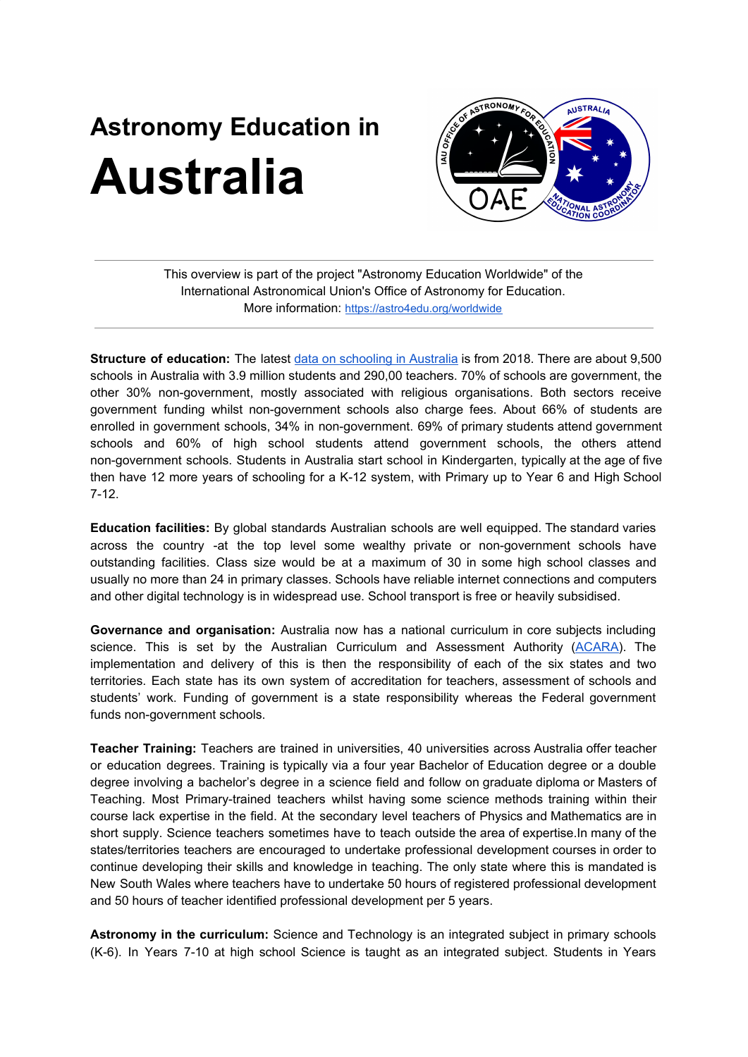## **Astronomy Education in Australia**



This overview is part of the project "Astronomy Education Worldwide" of the International Astronomical Union's Office of Astronomy for Education. More information: <https://astro4edu.org/worldwide>

**Structure of education:** The latest data on [schooling](https://www.acara.edu.au/reporting/national-report-on-schooling-in-australia/national-report-on-schooling-in-australia-2018) in Australia is from 2018. There are about 9,500 schools in Australia with 3.9 million students and 290,00 teachers. 70% of schools are government, the other 30% non-government, mostly associated with religious organisations. Both sectors receive government funding whilst non-government schools also charge fees. About 66% of students are enrolled in government schools, 34% in non-government. 69% of primary students attend government schools and 60% of high school students attend government schools, the others attend non-government schools. Students in Australia start school in Kindergarten, typically at the age of five then have 12 more years of schooling for a K-12 system, with Primary up to Year 6 and High School 7-12.

**Education facilities:** By global standards Australian schools are well equipped. The standard varies across the country -at the top level some wealthy private or non-government schools have outstanding facilities. Class size would be at a maximum of 30 in some high school classes and usually no more than 24 in primary classes. Schools have reliable internet connections and computers and other digital technology is in widespread use. School transport is free or heavily subsidised.

**Governance and organisation:** Australia now has a national curriculum in core subjects including science. This is set by the Australian Curriculum and Assessment Authority ([ACARA](https://www.acara.edu.au/)). The implementation and delivery of this is then the responsibility of each of the six states and two territories. Each state has its own system of accreditation for teachers, assessment of schools and students' work. Funding of government is a state responsibility whereas the Federal government funds non-government schools.

**Teacher Training:** Teachers are trained in universities, 40 universities across Australia offer teacher or education degrees. Training is typically via a four year Bachelor of Education degree or a double degree involving a bachelor's degree in a science field and follow on graduate diploma or Masters of Teaching. Most Primary-trained teachers whilst having some science methods training within their course lack expertise in the field. At the secondary level teachers of Physics and Mathematics are in short supply. Science teachers sometimes have to teach outside the area of expertise.In many of the states/territories teachers are encouraged to undertake professional development courses in order to continue developing their skills and knowledge in teaching. The only state where this is mandated is New South Wales where teachers have to undertake 50 hours of registered professional development and 50 hours of teacher identified professional development per 5 years.

**Astronomy in the curriculum:** Science and Technology is an integrated subject in primary schools (K-6). In Years 7-10 at high school Science is taught as an integrated subject. Students in Years